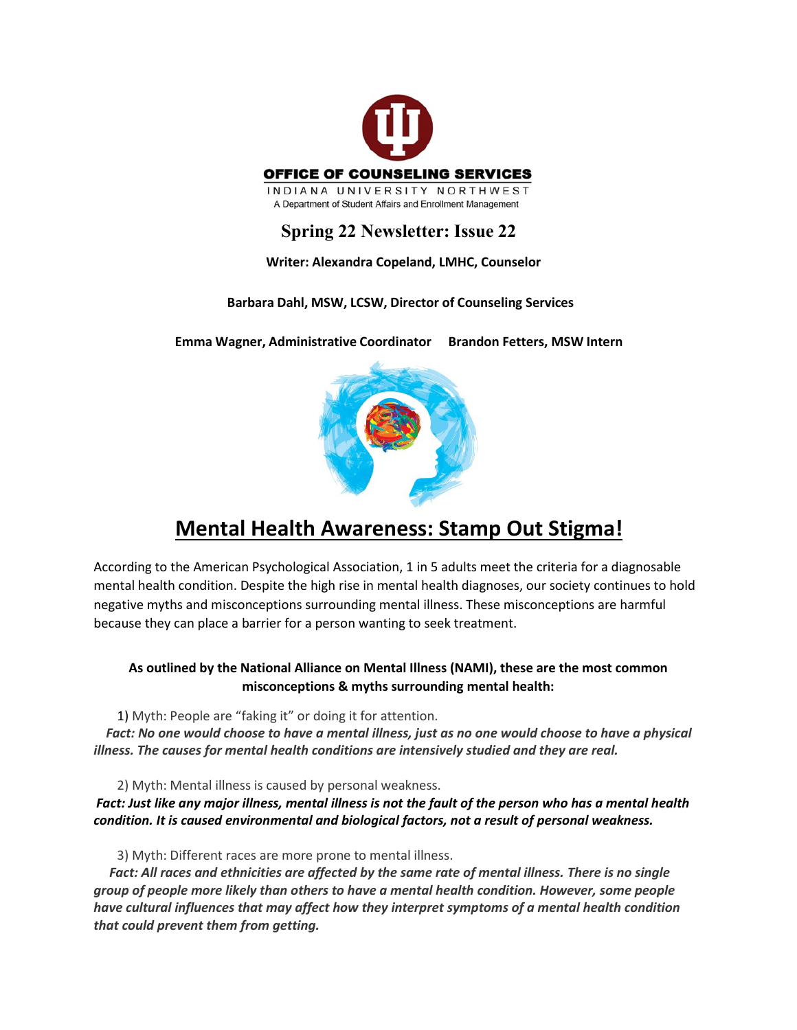

## **Spring 22 Newsletter: Issue 22**

**Writer: Alexandra Copeland, LMHC, Counselor**

 **Barbara Dahl, MSW, LCSW, Director of Counseling Services**

**Emma Wagner, Administrative Coordinator Brandon Fetters, MSW Intern**



# **Mental Health Awareness: Stamp Out Stigma!**

According to the American Psychological Association, 1 in 5 adults meet the criteria for a diagnosable mental health condition. Despite the high rise in mental health diagnoses, our society continues to hold negative myths and misconceptions surrounding mental illness. These misconceptions are harmful because they can place a barrier for a person wanting to seek treatment.

### **As outlined by the National Alliance on Mental Illness (NAMI), these are the most common misconceptions & myths surrounding mental health:**

1) Myth: People are "faking it" or doing it for attention.

 *Fact: No one would choose to have a mental illness, just as no one would choose to have a physical illness. The causes for mental health conditions are intensively studied and they are real.*

2) Myth: Mental illness is caused by personal weakness.

 *Fact: Just like any major illness, mental illness is not the fault of the person who has a mental health condition. It is caused environmental and biological factors, not a result of personal weakness.*

3) Myth: Different races are more prone to mental illness.

 *Fact: All races and ethnicities are affected by the same rate of mental illness. There is no single group of people more likely than others to have a mental health condition. However, some people have cultural influences that may affect how they interpret symptoms of a mental health condition that could prevent them from getting.*